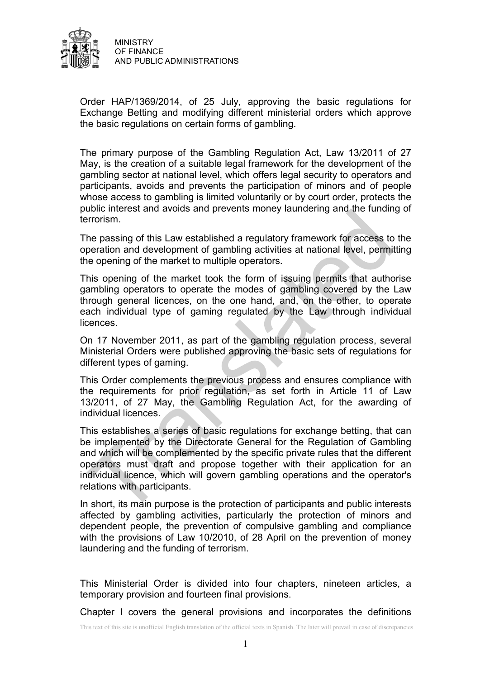

Order HAP/1369/2014, of 25 July, approving the basic regulations for Exchange Betting and modifying different ministerial orders which approve the basic regulations on certain forms of gambling.

The primary purpose of the Gambling Regulation Act, Law 13/2011 of 27 May, is the creation of a suitable legal framework for the development of the gambling sector at national level, which offers legal security to operators and participants, avoids and prevents the participation of minors and of people whose access to gambling is limited voluntarily or by court order, protects the public interest and avoids and prevents money laundering and the funding of terrorism.

The passing of this Law established a regulatory framework for access to the operation and development of gambling activities at national level, permitting the opening of the market to multiple operators.

This opening of the market took the form of issuing permits that authorise gambling operators to operate the modes of gambling covered by the Law through general licences, on the one hand, and, on the other, to operate each individual type of gaming regulated by the Law through individual **licences** 

On 17 November 2011, as part of the gambling regulation process, several Ministerial Orders were published approving the basic sets of regulations for different types of gaming.

This Order complements the previous process and ensures compliance with the requirements for prior regulation, as set forth in Article 11 of Law 13/2011, of 27 May, the Gambling Regulation Act, for the awarding of individual licences.

This establishes a series of basic regulations for exchange betting, that can be implemented by the Directorate General for the Regulation of Gambling and which will be complemented by the specific private rules that the different operators must draft and propose together with their application for an individual licence, which will govern gambling operations and the operator's relations with participants.

In short, its main purpose is the protection of participants and public interests affected by gambling activities, particularly the protection of minors and dependent people, the prevention of compulsive gambling and compliance with the provisions of Law 10/2010, of 28 April on the prevention of money laundering and the funding of terrorism.

This Ministerial Order is divided into four chapters, nineteen articles, a temporary provision and fourteen final provisions.

Chapter I covers the general provisions and incorporates the definitions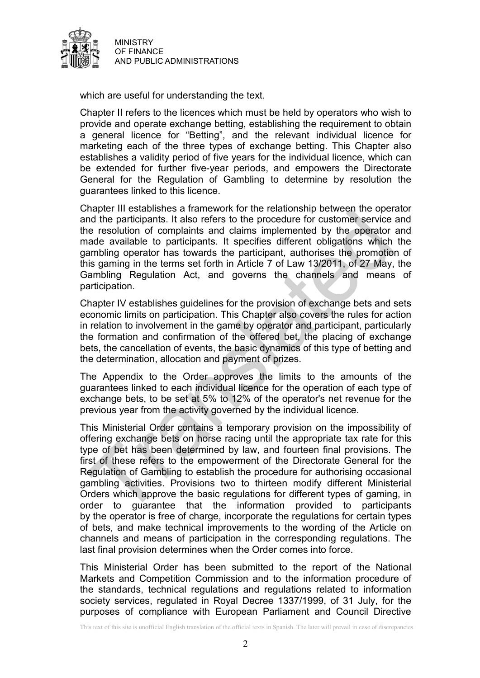

which are useful for understanding the text.

Chapter II refers to the licences which must be held by operators who wish to provide and operate exchange betting, establishing the requirement to obtain a general licence for "Betting", and the relevant individual licence for marketing each of the three types of exchange betting. This Chapter also establishes a validity period of five years for the individual licence, which can be extended for further five-year periods, and empowers the Directorate General for the Regulation of Gambling to determine by resolution the guarantees linked to this licence.

Chapter III establishes a framework for the relationship between the operator and the participants. It also refers to the procedure for customer service and the resolution of complaints and claims implemented by the operator and made available to participants. It specifies different obligations which the gambling operator has towards the participant, authorises the promotion of this gaming in the terms set forth in Article 7 of Law 13/2011, of 27 May, the Gambling Regulation Act, and governs the channels and means of participation.

Chapter IV establishes guidelines for the provision of exchange bets and sets economic limits on participation. This Chapter also covers the rules for action in relation to involvement in the game by operator and participant, particularly the formation and confirmation of the offered bet, the placing of exchange bets, the cancellation of events, the basic dynamics of this type of betting and the determination, allocation and payment of prizes.

The Appendix to the Order approves the limits to the amounts of the guarantees linked to each individual licence for the operation of each type of exchange bets, to be set at 5% to 12% of the operator's net revenue for the previous year from the activity governed by the individual licence.

This Ministerial Order contains a temporary provision on the impossibility of offering exchange bets on horse racing until the appropriate tax rate for this type of bet has been determined by law, and fourteen final provisions. The first of these refers to the empowerment of the Directorate General for the Regulation of Gambling to establish the procedure for authorising occasional gambling activities. Provisions two to thirteen modify different Ministerial Orders which approve the basic regulations for different types of gaming, in order to guarantee that the information provided to participants by the operator is free of charge, incorporate the regulations for certain types of bets, and make technical improvements to the wording of the Article on channels and means of participation in the corresponding regulations. The last final provision determines when the Order comes into force.

This Ministerial Order has been submitted to the report of the National Markets and Competition Commission and to the information procedure of the standards, technical regulations and regulations related to information society services, regulated in Royal Decree 1337/1999, of 31 July, for the purposes of compliance with European Parliament and Council Directive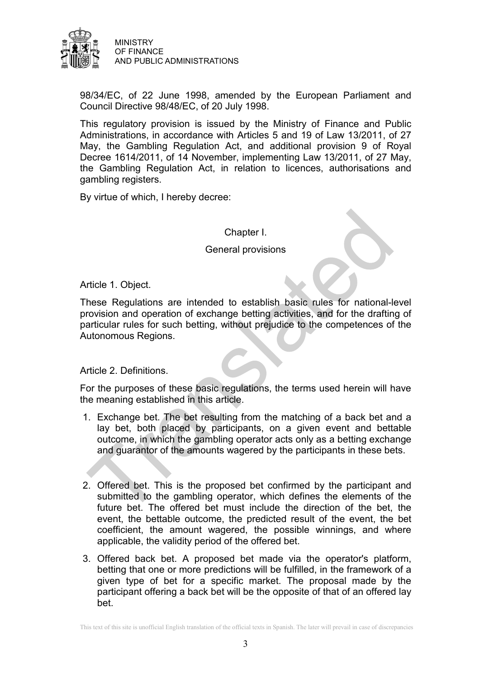

98/34/EC, of 22 June 1998, amended by the European Parliament and Council Directive 98/48/EC, of 20 July 1998.

This regulatory provision is issued by the Ministry of Finance and Public Administrations, in accordance with Articles 5 and 19 of Law 13/2011, of 27 May, the Gambling Regulation Act, and additional provision 9 of Royal Decree 1614/2011, of 14 November, implementing Law 13/2011, of 27 May, the Gambling Regulation Act, in relation to licences, authorisations and gambling registers.

By virtue of which, I hereby decree:

Chapter I.

General provisions

Article 1. Object.

These Regulations are intended to establish basic rules for national-level provision and operation of exchange betting activities, and for the drafting of particular rules for such betting, without prejudice to the competences of the Autonomous Regions.

Article 2. Definitions.

For the purposes of these basic regulations, the terms used herein will have the meaning established in this article.

- 1. Exchange bet. The bet resulting from the matching of a back bet and a lay bet, both placed by participants, on a given event and bettable outcome, in which the gambling operator acts only as a betting exchange and guarantor of the amounts wagered by the participants in these bets.
- 2. Offered bet. This is the proposed bet confirmed by the participant and submitted to the gambling operator, which defines the elements of the future bet. The offered bet must include the direction of the bet, the event, the bettable outcome, the predicted result of the event, the bet coefficient, the amount wagered, the possible winnings, and where applicable, the validity period of the offered bet.
- 3. Offered back bet. A proposed bet made via the operator's platform, betting that one or more predictions will be fulfilled, in the framework of a given type of bet for a specific market. The proposal made by the participant offering a back bet will be the opposite of that of an offered lay bet.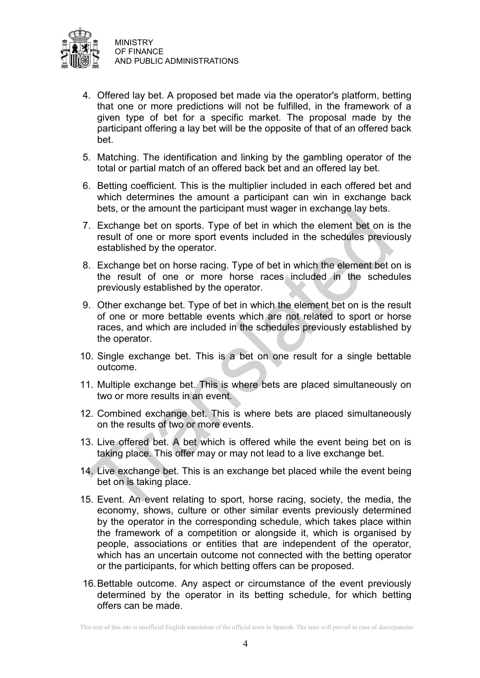

- 4. Offered lay bet. A proposed bet made via the operator's platform, betting that one or more predictions will not be fulfilled, in the framework of a given type of bet for a specific market. The proposal made by the participant offering a lay bet will be the opposite of that of an offered back bet.
- 5. Matching. The identification and linking by the gambling operator of the total or partial match of an offered back bet and an offered lay bet.
- 6. Betting coefficient. This is the multiplier included in each offered bet and which determines the amount a participant can win in exchange back bets, or the amount the participant must wager in exchange lay bets.
- 7. Exchange bet on sports. Type of bet in which the element bet on is the result of one or more sport events included in the schedules previously established by the operator.
- 8. Exchange bet on horse racing. Type of bet in which the element bet on is the result of one or more horse races included in the schedules previously established by the operator.
- 9. Other exchange bet. Type of bet in which the element bet on is the result of one or more bettable events which are not related to sport or horse races, and which are included in the schedules previously established by the operator.
- 10. Single exchange bet. This is a bet on one result for a single bettable outcome.
- 11. Multiple exchange bet. This is where bets are placed simultaneously on two or more results in an event.
- 12. Combined exchange bet. This is where bets are placed simultaneously on the results of two or more events.
- 13. Live offered bet. A bet which is offered while the event being bet on is taking place. This offer may or may not lead to a live exchange bet.
- 14. Live exchange bet. This is an exchange bet placed while the event being bet on is taking place.
- 15. Event. An event relating to sport, horse racing, society, the media, the economy, shows, culture or other similar events previously determined by the operator in the corresponding schedule, which takes place within the framework of a competition or alongside it, which is organised by people, associations or entities that are independent of the operator, which has an uncertain outcome not connected with the betting operator or the participants, for which betting offers can be proposed.
- 16.Bettable outcome. Any aspect or circumstance of the event previously determined by the operator in its betting schedule, for which betting offers can be made.

This text of this site is unofficial English translation of the official texts in Spanish. The later will prevail in case of discrepancies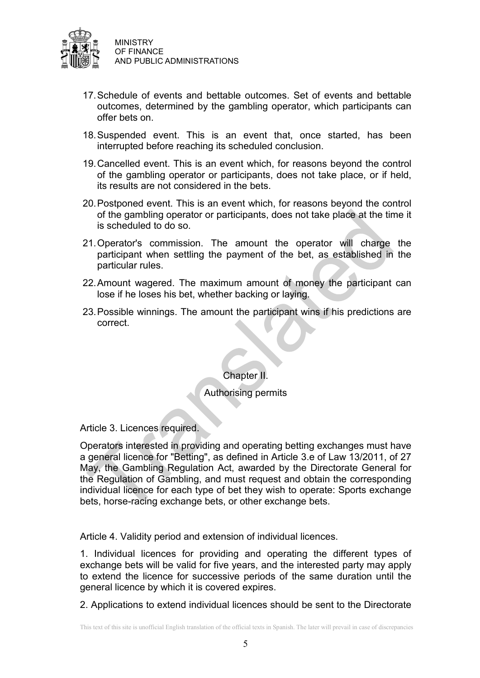

- 17.Schedule of events and bettable outcomes. Set of events and bettable outcomes, determined by the gambling operator, which participants can offer bets on.
- 18.Suspended event. This is an event that, once started, has been interrupted before reaching its scheduled conclusion.
- 19.Cancelled event. This is an event which, for reasons beyond the control of the gambling operator or participants, does not take place, or if held, its results are not considered in the bets.
- 20.Postponed event. This is an event which, for reasons beyond the control of the gambling operator or participants, does not take place at the time it is scheduled to do so.
- 21.Operator's commission. The amount the operator will charge the participant when settling the payment of the bet, as established in the particular rules.
- 22.Amount wagered. The maximum amount of money the participant can lose if he loses his bet, whether backing or laying.
- 23.Possible winnings. The amount the participant wins if his predictions are correct.

Chapter II.

Authorising permits

Article 3. Licences required.

Operators interested in providing and operating betting exchanges must have a general licence for "Betting", as defined in Article 3.e of Law 13/2011, of 27 May, the Gambling Regulation Act, awarded by the Directorate General for the Regulation of Gambling, and must request and obtain the corresponding individual licence for each type of bet they wish to operate: Sports exchange bets, horse-racing exchange bets, or other exchange bets.

Article 4. Validity period and extension of individual licences.

1. Individual licences for providing and operating the different types of exchange bets will be valid for five years, and the interested party may apply to extend the licence for successive periods of the same duration until the general licence by which it is covered expires.

2. Applications to extend individual licences should be sent to the Directorate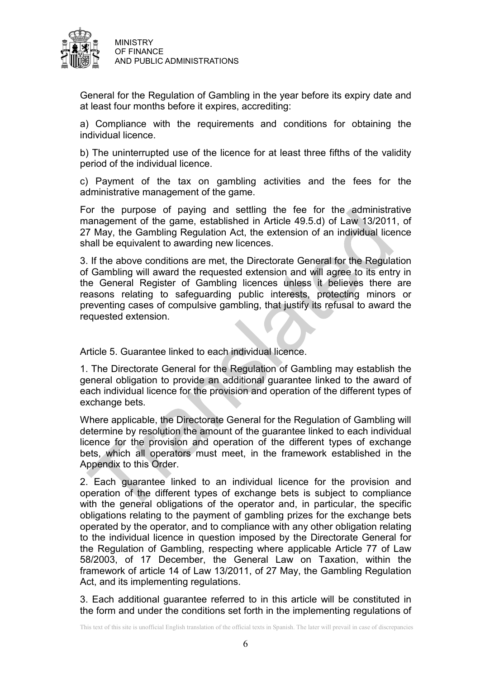

General for the Regulation of Gambling in the year before its expiry date and at least four months before it expires, accrediting:

a) Compliance with the requirements and conditions for obtaining the individual licence.

b) The uninterrupted use of the licence for at least three fifths of the validity period of the individual licence.

c) Payment of the tax on gambling activities and the fees for the administrative management of the game.

For the purpose of paying and settling the fee for the administrative management of the game, established in Article 49.5.d) of Law 13/2011, of 27 May, the Gambling Regulation Act, the extension of an individual licence shall be equivalent to awarding new licences.

3. If the above conditions are met, the Directorate General for the Regulation of Gambling will award the requested extension and will agree to its entry in the General Register of Gambling licences unless it believes there are reasons relating to safeguarding public interests, protecting minors or preventing cases of compulsive gambling, that justify its refusal to award the requested extension.

Article 5. Guarantee linked to each individual licence.

1. The Directorate General for the Regulation of Gambling may establish the general obligation to provide an additional guarantee linked to the award of each individual licence for the provision and operation of the different types of exchange bets.

Where applicable, the Directorate General for the Regulation of Gambling will determine by resolution the amount of the guarantee linked to each individual licence for the provision and operation of the different types of exchange bets, which all operators must meet, in the framework established in the Appendix to this Order.

2. Each guarantee linked to an individual licence for the provision and operation of the different types of exchange bets is subject to compliance with the general obligations of the operator and, in particular, the specific obligations relating to the payment of gambling prizes for the exchange bets operated by the operator, and to compliance with any other obligation relating to the individual licence in question imposed by the Directorate General for the Regulation of Gambling, respecting where applicable Article 77 of Law 58/2003, of 17 December, the General Law on Taxation, within the framework of article 14 of Law 13/2011, of 27 May, the Gambling Regulation Act, and its implementing regulations.

3. Each additional guarantee referred to in this article will be constituted in the form and under the conditions set forth in the implementing regulations of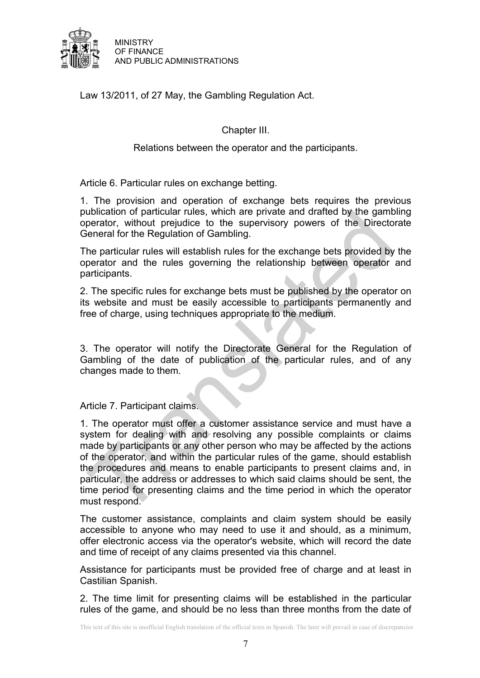

Law 13/2011, of 27 May, the Gambling Regulation Act.

Chapter III.

Relations between the operator and the participants.

Article 6. Particular rules on exchange betting.

1. The provision and operation of exchange bets requires the previous publication of particular rules, which are private and drafted by the gambling operator, without prejudice to the supervisory powers of the Directorate General for the Regulation of Gambling.

The particular rules will establish rules for the exchange bets provided by the operator and the rules governing the relationship between operator and participants.

2. The specific rules for exchange bets must be published by the operator on its website and must be easily accessible to participants permanently and free of charge, using techniques appropriate to the medium.

3. The operator will notify the Directorate General for the Regulation of Gambling of the date of publication of the particular rules, and of any changes made to them.

Article 7. Participant claims.

1. The operator must offer a customer assistance service and must have a system for dealing with and resolving any possible complaints or claims made by participants or any other person who may be affected by the actions of the operator, and within the particular rules of the game, should establish the procedures and means to enable participants to present claims and, in particular, the address or addresses to which said claims should be sent, the time period for presenting claims and the time period in which the operator must respond.

The customer assistance, complaints and claim system should be easily accessible to anyone who may need to use it and should, as a minimum, offer electronic access via the operator's website, which will record the date and time of receipt of any claims presented via this channel.

Assistance for participants must be provided free of charge and at least in Castilian Spanish.

2. The time limit for presenting claims will be established in the particular rules of the game, and should be no less than three months from the date of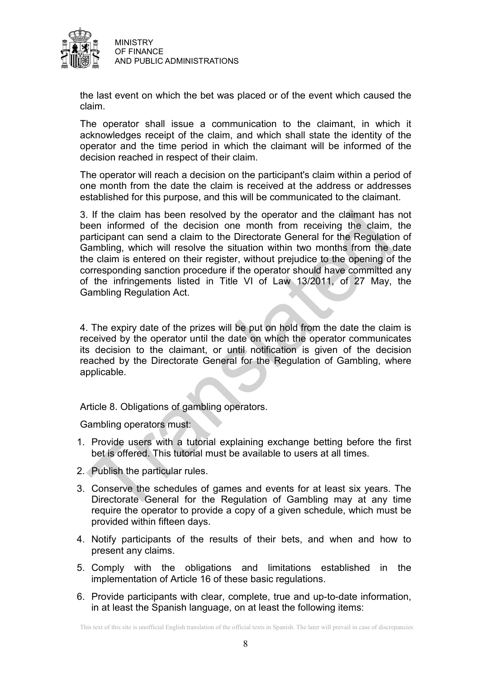

the last event on which the bet was placed or of the event which caused the claim.

The operator shall issue a communication to the claimant, in which it acknowledges receipt of the claim, and which shall state the identity of the operator and the time period in which the claimant will be informed of the decision reached in respect of their claim.

The operator will reach a decision on the participant's claim within a period of one month from the date the claim is received at the address or addresses established for this purpose, and this will be communicated to the claimant.

3. If the claim has been resolved by the operator and the claimant has not been informed of the decision one month from receiving the claim, the participant can send a claim to the Directorate General for the Regulation of Gambling, which will resolve the situation within two months from the date the claim is entered on their register, without prejudice to the opening of the corresponding sanction procedure if the operator should have committed any of the infringements listed in Title VI of Law 13/2011, of 27 May, the Gambling Regulation Act.

4. The expiry date of the prizes will be put on hold from the date the claim is received by the operator until the date on which the operator communicates its decision to the claimant, or until notification is given of the decision reached by the Directorate General for the Regulation of Gambling, where applicable.

Article 8. Obligations of gambling operators.

Gambling operators must:

- 1. Provide users with a tutorial explaining exchange betting before the first bet is offered. This tutorial must be available to users at all times.
- 2. Publish the particular rules.
- 3. Conserve the schedules of games and events for at least six years. The Directorate General for the Regulation of Gambling may at any time require the operator to provide a copy of a given schedule, which must be provided within fifteen days.
- 4. Notify participants of the results of their bets, and when and how to present any claims.
- 5. Comply with the obligations and limitations established in the implementation of Article 16 of these basic regulations.
- 6. Provide participants with clear, complete, true and up-to-date information, in at least the Spanish language, on at least the following items: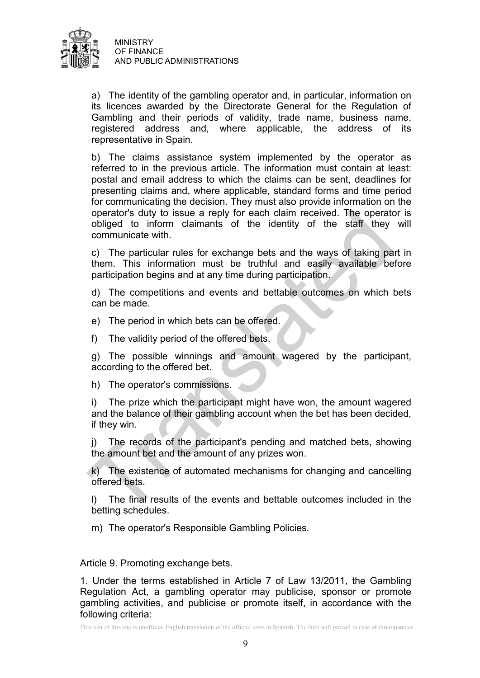

a) The identity of the gambling operator and, in particular, information on its licences awarded by the Directorate General for the Regulation of Gambling and their periods of validity, trade name, business name, registered address and, where applicable, the address of its representative in Spain.

b) The claims assistance system implemented by the operator as referred to in the previous article. The information must contain at least: postal and email address to which the claims can be sent, deadlines for presenting claims and, where applicable, standard forms and time period for communicating the decision. They must also provide information on the operator's duty to issue a reply for each claim received. The operator is obliged to inform claimants of the identity of the staff they will communicate with.

c) The particular rules for exchange bets and the ways of taking part in them. This information must be truthful and easily available before participation begins and at any time during participation.

d) The competitions and events and bettable outcomes on which bets can be made.

e) The period in which bets can be offered.

f) The validity period of the offered bets.

g) The possible winnings and amount wagered by the participant, according to the offered bet.

h) The operator's commissions.

i) The prize which the participant might have won, the amount wagered and the balance of their gambling account when the bet has been decided, if they win.

j) The records of the participant's pending and matched bets, showing the amount bet and the amount of any prizes won.

k) The existence of automated mechanisms for changing and cancelling offered bets.

l) The final results of the events and bettable outcomes included in the betting schedules.

m) The operator's Responsible Gambling Policies.

Article 9. Promoting exchange bets.

1. Under the terms established in Article 7 of Law 13/2011, the Gambling Regulation Act, a gambling operator may publicise, sponsor or promote gambling activities, and publicise or promote itself, in accordance with the following criteria: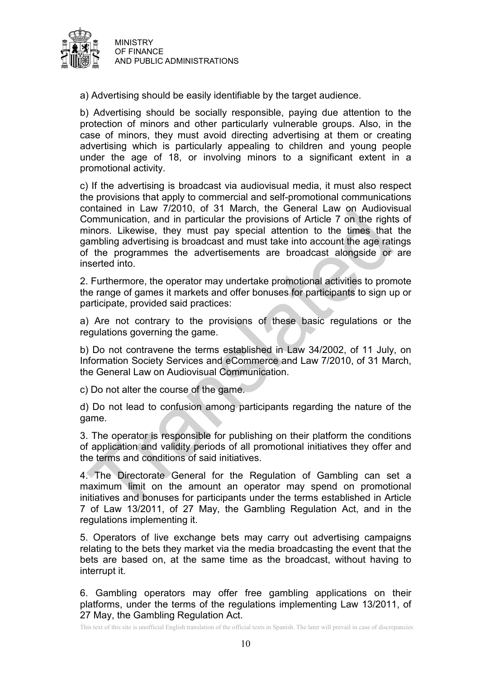

a) Advertising should be easily identifiable by the target audience.

b) Advertising should be socially responsible, paying due attention to the protection of minors and other particularly vulnerable groups. Also, in the case of minors, they must avoid directing advertising at them or creating advertising which is particularly appealing to children and young people under the age of 18, or involving minors to a significant extent in a promotional activity.

c) If the advertising is broadcast via audiovisual media, it must also respect the provisions that apply to commercial and self-promotional communications contained in Law 7/2010, of 31 March, the General Law on Audiovisual Communication, and in particular the provisions of Article 7 on the rights of minors. Likewise, they must pay special attention to the times that the gambling advertising is broadcast and must take into account the age ratings of the programmes the advertisements are broadcast alongside or are inserted into.

2. Furthermore, the operator may undertake promotional activities to promote the range of games it markets and offer bonuses for participants to sign up or participate, provided said practices:

a) Are not contrary to the provisions of these basic regulations or the regulations governing the game.

b) Do not contravene the terms established in Law 34/2002, of 11 July, on Information Society Services and eCommerce and Law 7/2010, of 31 March, the General Law on Audiovisual Communication.

c) Do not alter the course of the game.

d) Do not lead to confusion among participants regarding the nature of the game.

3. The operator is responsible for publishing on their platform the conditions of application and validity periods of all promotional initiatives they offer and the terms and conditions of said initiatives.

4. The Directorate General for the Regulation of Gambling can set a maximum limit on the amount an operator may spend on promotional initiatives and bonuses for participants under the terms established in Article 7 of Law 13/2011, of 27 May, the Gambling Regulation Act, and in the regulations implementing it.

5. Operators of live exchange bets may carry out advertising campaigns relating to the bets they market via the media broadcasting the event that the bets are based on, at the same time as the broadcast, without having to interrupt it.

6. Gambling operators may offer free gambling applications on their platforms, under the terms of the regulations implementing Law 13/2011, of 27 May, the Gambling Regulation Act.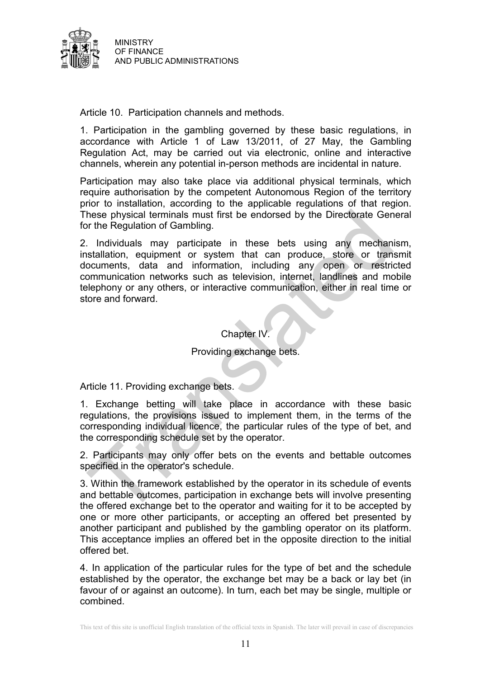

Article 10. Participation channels and methods.

1. Participation in the gambling governed by these basic regulations, in accordance with Article 1 of Law 13/2011, of 27 May, the Gambling Regulation Act, may be carried out via electronic, online and interactive channels, wherein any potential in-person methods are incidental in nature.

Participation may also take place via additional physical terminals, which require authorisation by the competent Autonomous Region of the territory prior to installation, according to the applicable regulations of that region. These physical terminals must first be endorsed by the Directorate General for the Regulation of Gambling.

2. Individuals may participate in these bets using any mechanism, installation, equipment or system that can produce, store or transmit documents, data and information, including any open or restricted communication networks such as television, internet, landlines and mobile telephony or any others, or interactive communication, either in real time or store and forward.

## Chapter IV.

## Providing exchange bets.

Article 11. Providing exchange bets.

1. Exchange betting will take place in accordance with these basic regulations, the provisions issued to implement them, in the terms of the corresponding individual licence, the particular rules of the type of bet, and the corresponding schedule set by the operator.

2. Participants may only offer bets on the events and bettable outcomes specified in the operator's schedule.

3. Within the framework established by the operator in its schedule of events and bettable outcomes, participation in exchange bets will involve presenting the offered exchange bet to the operator and waiting for it to be accepted by one or more other participants, or accepting an offered bet presented by another participant and published by the gambling operator on its platform. This acceptance implies an offered bet in the opposite direction to the initial offered bet.

4. In application of the particular rules for the type of bet and the schedule established by the operator, the exchange bet may be a back or lay bet (in favour of or against an outcome). In turn, each bet may be single, multiple or combined.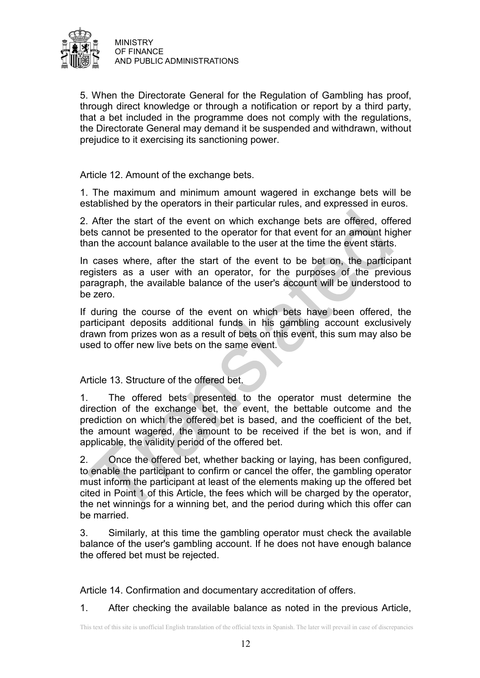

5. When the Directorate General for the Regulation of Gambling has proof, through direct knowledge or through a notification or report by a third party, that a bet included in the programme does not comply with the regulations, the Directorate General may demand it be suspended and withdrawn, without prejudice to it exercising its sanctioning power.

Article 12. Amount of the exchange bets.

1. The maximum and minimum amount wagered in exchange bets will be established by the operators in their particular rules, and expressed in euros.

2. After the start of the event on which exchange bets are offered, offered bets cannot be presented to the operator for that event for an amount higher than the account balance available to the user at the time the event starts.

In cases where, after the start of the event to be bet on, the participant registers as a user with an operator, for the purposes of the previous paragraph, the available balance of the user's account will be understood to be zero.

If during the course of the event on which bets have been offered, the participant deposits additional funds in his gambling account exclusively drawn from prizes won as a result of bets on this event, this sum may also be used to offer new live bets on the same event.

Article 13. Structure of the offered bet.

1. The offered bets presented to the operator must determine the direction of the exchange bet, the event, the bettable outcome and the prediction on which the offered bet is based, and the coefficient of the bet, the amount wagered, the amount to be received if the bet is won, and if applicable, the validity period of the offered bet.

2. Once the offered bet, whether backing or laying, has been configured, to enable the participant to confirm or cancel the offer, the gambling operator must inform the participant at least of the elements making up the offered bet cited in Point 1 of this Article, the fees which will be charged by the operator, the net winnings for a winning bet, and the period during which this offer can be married.

3. Similarly, at this time the gambling operator must check the available balance of the user's gambling account. If he does not have enough balance the offered bet must be rejected.

Article 14. Confirmation and documentary accreditation of offers.

1. After checking the available balance as noted in the previous Article,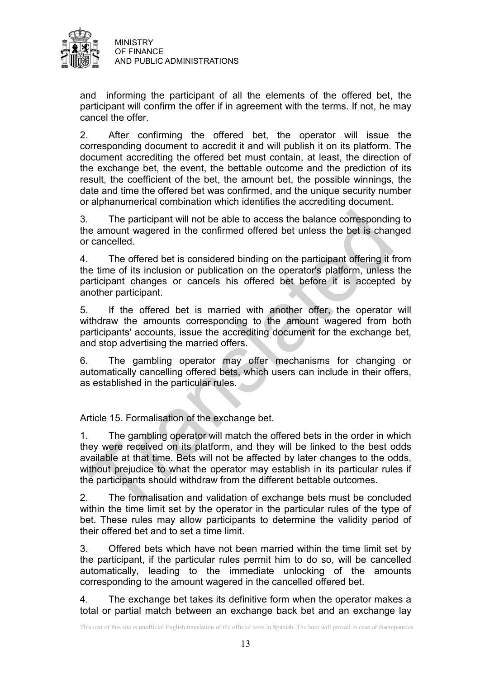

and informing the participant of all the elements of the offered bet, the participant will confirm the offer if in agreement with the terms. If not, he may cancel the offer.

2. After confirming the offered bet, the operator will issue the corresponding document to accredit it and will publish it on its platform. The document accrediting the offered bet must contain, at least, the direction of the exchange bet, the event, the bettable outcome and the prediction of its result, the coefficient of the bet, the amount bet, the possible winnings, the date and time the offered bet was confirmed, and the unique security number or alphanumerical combination which identifies the accrediting document.

3. The participant will not be able to access the balance corresponding to the amount wagered in the confirmed offered bet unless the bet is changed or cancelled.

4. The offered bet is considered binding on the participant offering it from the time of its inclusion or publication on the operator's platform, unless the participant changes or cancels his offered bet before it is accepted by another participant.

5. If the offered bet is married with another offer, the operator will withdraw the amounts corresponding to the amount wagered from both participants' accounts, issue the accrediting document for the exchange bet, and stop advertising the married offers.

6. The gambling operator may offer mechanisms for changing or automatically cancelling offered bets, which users can include in their offers, as established in the particular rules.

Article 15. Formalisation of the exchange bet.

1. The gambling operator will match the offered bets in the order in which they were received on its platform, and they will be linked to the best odds available at that time. Bets will not be affected by later changes to the odds, without prejudice to what the operator may establish in its particular rules if the participants should withdraw from the different bettable outcomes.

2. The formalisation and validation of exchange bets must be concluded within the time limit set by the operator in the particular rules of the type of bet. These rules may allow participants to determine the validity period of their offered bet and to set a time limit.

3. Offered bets which have not been married within the time limit set by the participant, if the particular rules permit him to do so, will be cancelled automatically, leading to the immediate unlocking of the amounts corresponding to the amount wagered in the cancelled offered bet.

4. The exchange bet takes its definitive form when the operator makes a total or partial match between an exchange back bet and an exchange lay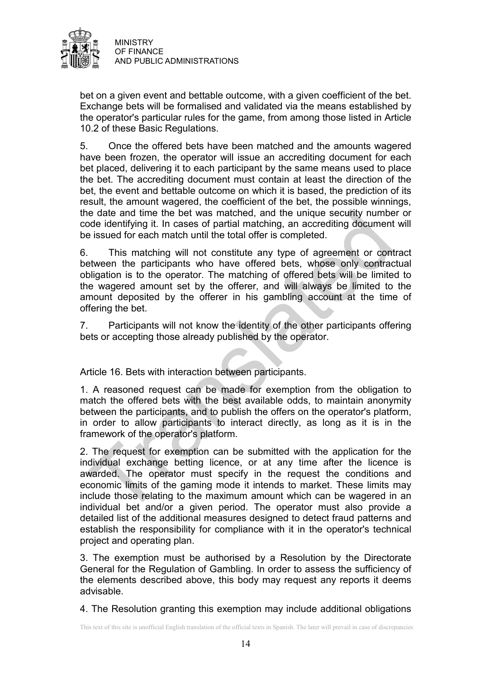

bet on a given event and bettable outcome, with a given coefficient of the bet. Exchange bets will be formalised and validated via the means established by the operator's particular rules for the game, from among those listed in Article 10.2 of these Basic Regulations.

5. Once the offered bets have been matched and the amounts wagered have been frozen, the operator will issue an accrediting document for each bet placed, delivering it to each participant by the same means used to place the bet. The accrediting document must contain at least the direction of the bet, the event and bettable outcome on which it is based, the prediction of its result, the amount wagered, the coefficient of the bet, the possible winnings, the date and time the bet was matched, and the unique security number or code identifying it. In cases of partial matching, an accrediting document will be issued for each match until the total offer is completed.

6. This matching will not constitute any type of agreement or contract between the participants who have offered bets, whose only contractual obligation is to the operator. The matching of offered bets will be limited to the wagered amount set by the offerer, and will always be limited to the amount deposited by the offerer in his gambling account at the time of offering the bet.

7. Participants will not know the identity of the other participants offering bets or accepting those already published by the operator.

Article 16. Bets with interaction between participants.

1. A reasoned request can be made for exemption from the obligation to match the offered bets with the best available odds, to maintain anonymity between the participants, and to publish the offers on the operator's platform, in order to allow participants to interact directly, as long as it is in the framework of the operator's platform.

2. The request for exemption can be submitted with the application for the individual exchange betting licence, or at any time after the licence is awarded. The operator must specify in the request the conditions and economic limits of the gaming mode it intends to market. These limits may include those relating to the maximum amount which can be wagered in an individual bet and/or a given period. The operator must also provide a detailed list of the additional measures designed to detect fraud patterns and establish the responsibility for compliance with it in the operator's technical project and operating plan.

3. The exemption must be authorised by a Resolution by the Directorate General for the Regulation of Gambling. In order to assess the sufficiency of the elements described above, this body may request any reports it deems advisable.

4. The Resolution granting this exemption may include additional obligations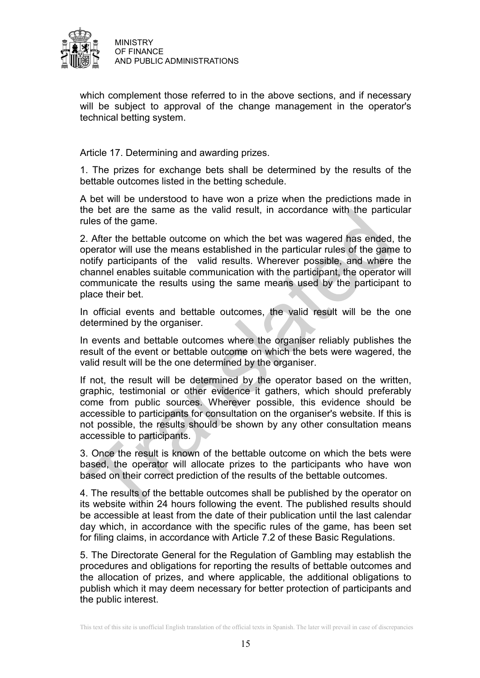

which complement those referred to in the above sections, and if necessary will be subject to approval of the change management in the operator's technical betting system.

Article 17. Determining and awarding prizes.

1. The prizes for exchange bets shall be determined by the results of the bettable outcomes listed in the betting schedule.

A bet will be understood to have won a prize when the predictions made in the bet are the same as the valid result, in accordance with the particular rules of the game.

2. After the bettable outcome on which the bet was wagered has ended, the operator will use the means established in the particular rules of the game to notify participants of the valid results. Wherever possible, and where the channel enables suitable communication with the participant, the operator will communicate the results using the same means used by the participant to place their bet.

In official events and bettable outcomes, the valid result will be the one determined by the organiser.

In events and bettable outcomes where the organiser reliably publishes the result of the event or bettable outcome on which the bets were wagered, the valid result will be the one determined by the organiser.

If not, the result will be determined by the operator based on the written, graphic, testimonial or other evidence it gathers, which should preferably come from public sources. Wherever possible, this evidence should be accessible to participants for consultation on the organiser's website. If this is not possible, the results should be shown by any other consultation means accessible to participants.

3. Once the result is known of the bettable outcome on which the bets were based, the operator will allocate prizes to the participants who have won based on their correct prediction of the results of the bettable outcomes.

4. The results of the bettable outcomes shall be published by the operator on its website within 24 hours following the event. The published results should be accessible at least from the date of their publication until the last calendar day which, in accordance with the specific rules of the game, has been set for filing claims, in accordance with Article 7.2 of these Basic Regulations.

5. The Directorate General for the Regulation of Gambling may establish the procedures and obligations for reporting the results of bettable outcomes and the allocation of prizes, and where applicable, the additional obligations to publish which it may deem necessary for better protection of participants and the public interest.

This text of this site is unofficial English translation of the official texts in Spanish. The later will prevail in case of discrepancies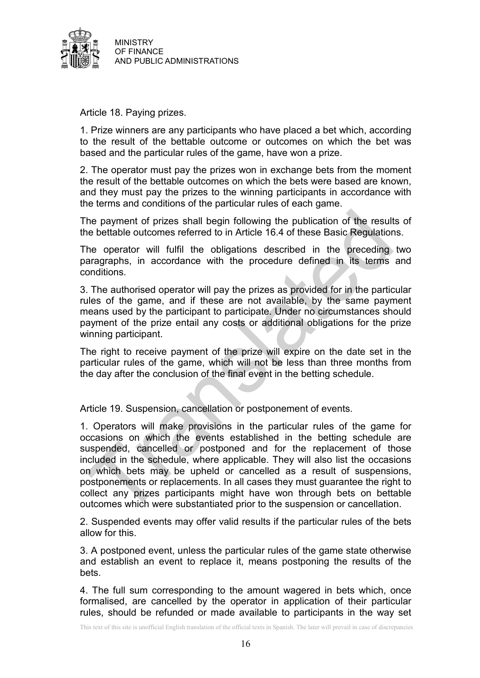

Article 18. Paying prizes.

1. Prize winners are any participants who have placed a bet which, according to the result of the bettable outcome or outcomes on which the bet was based and the particular rules of the game, have won a prize.

2. The operator must pay the prizes won in exchange bets from the moment the result of the bettable outcomes on which the bets were based are known, and they must pay the prizes to the winning participants in accordance with the terms and conditions of the particular rules of each game.

The payment of prizes shall begin following the publication of the results of the bettable outcomes referred to in Article 16.4 of these Basic Regulations.

The operator will fulfil the obligations described in the preceding two paragraphs, in accordance with the procedure defined in its terms and conditions.

3. The authorised operator will pay the prizes as provided for in the particular rules of the game, and if these are not available, by the same payment means used by the participant to participate. Under no circumstances should payment of the prize entail any costs or additional obligations for the prize winning participant.

The right to receive payment of the prize will expire on the date set in the particular rules of the game, which will not be less than three months from the day after the conclusion of the final event in the betting schedule.

Article 19. Suspension, cancellation or postponement of events.

1. Operators will make provisions in the particular rules of the game for occasions on which the events established in the betting schedule are suspended, cancelled or postponed and for the replacement of those included in the schedule, where applicable. They will also list the occasions on which bets may be upheld or cancelled as a result of suspensions, postponements or replacements. In all cases they must guarantee the right to collect any prizes participants might have won through bets on bettable outcomes which were substantiated prior to the suspension or cancellation.

2. Suspended events may offer valid results if the particular rules of the bets allow for this.

3. A postponed event, unless the particular rules of the game state otherwise and establish an event to replace it, means postponing the results of the bets.

4. The full sum corresponding to the amount wagered in bets which, once formalised, are cancelled by the operator in application of their particular rules, should be refunded or made available to participants in the way set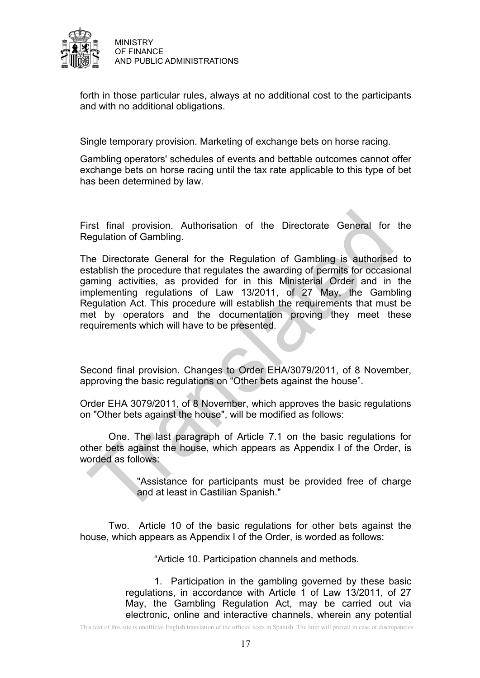

forth in those particular rules, always at no additional cost to the participants and with no additional obligations.

Single temporary provision. Marketing of exchange bets on horse racing.

Gambling operators' schedules of events and bettable outcomes cannot offer exchange bets on horse racing until the tax rate applicable to this type of bet has been determined by law.

First final provision. Authorisation of the Directorate General for the Regulation of Gambling.

The Directorate General for the Regulation of Gambling is authorised to establish the procedure that regulates the awarding of permits for occasional gaming activities, as provided for in this Ministerial Order and in the implementing regulations of Law 13/2011, of 27 May, the Gambling Regulation Act. This procedure will establish the requirements that must be met by operators and the documentation proving they meet these requirements which will have to be presented.

Second final provision. Changes to Order EHA/3079/2011, of 8 November, approving the basic regulations on "Other bets against the house".

Order EHA 3079/2011, of 8 November, which approves the basic regulations on "Other bets against the house", will be modified as follows:

One. The last paragraph of Article 7.1 on the basic regulations for other bets against the house, which appears as Appendix I of the Order, is worded as follows:

> "Assistance for participants must be provided free of charge and at least in Castilian Spanish."

Two. Article 10 of the basic regulations for other bets against the house, which appears as Appendix I of the Order, is worded as follows:

"Article 10. Participation channels and methods.

1. Participation in the gambling governed by these basic regulations, in accordance with Article 1 of Law 13/2011, of 27 May, the Gambling Regulation Act, may be carried out via electronic, online and interactive channels, wherein any potential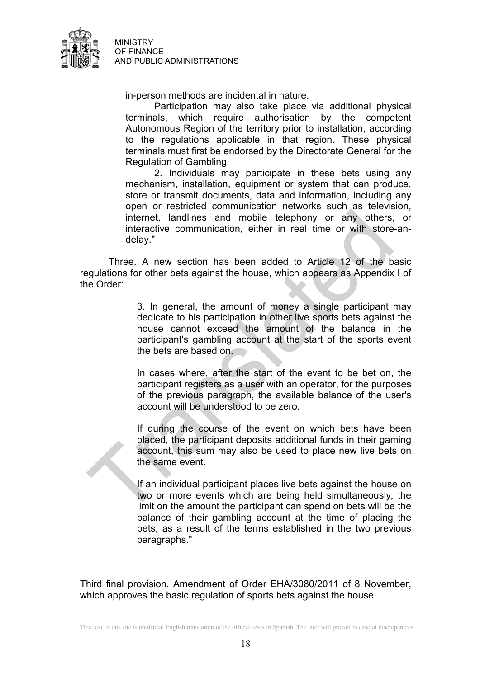

in-person methods are incidental in nature.

Participation may also take place via additional physical terminals, which require authorisation by the competent Autonomous Region of the territory prior to installation, according to the regulations applicable in that region. These physical terminals must first be endorsed by the Directorate General for the Regulation of Gambling.

2. Individuals may participate in these bets using any mechanism, installation, equipment or system that can produce, store or transmit documents, data and information, including any open or restricted communication networks such as television, internet, landlines and mobile telephony or any others, or interactive communication, either in real time or with store-andelay."

Three. A new section has been added to Article 12 of the basic regulations for other bets against the house, which appears as Appendix I of the Order:

> 3. In general, the amount of money a single participant may dedicate to his participation in other live sports bets against the house cannot exceed the amount of the balance in the participant's gambling account at the start of the sports event the bets are based on.

> In cases where, after the start of the event to be bet on, the participant registers as a user with an operator, for the purposes of the previous paragraph, the available balance of the user's account will be understood to be zero.

> If during the course of the event on which bets have been placed, the participant deposits additional funds in their gaming account, this sum may also be used to place new live bets on the same event.

> If an individual participant places live bets against the house on two or more events which are being held simultaneously, the limit on the amount the participant can spend on bets will be the balance of their gambling account at the time of placing the bets, as a result of the terms established in the two previous paragraphs."

Third final provision. Amendment of Order EHA/3080/2011 of 8 November, which approves the basic regulation of sports bets against the house.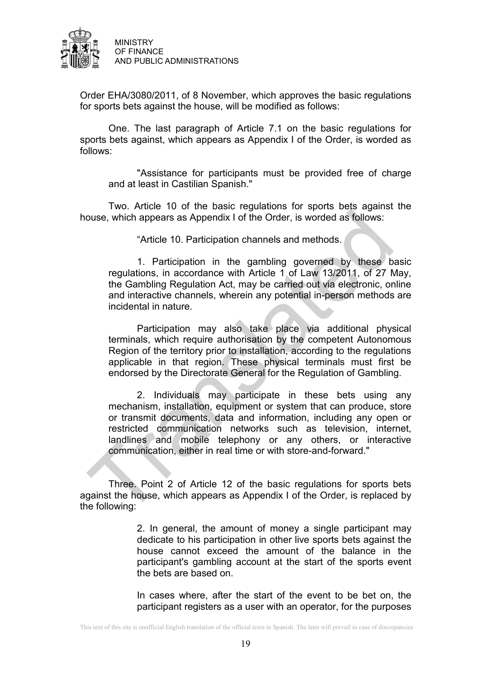

Order EHA/3080/2011, of 8 November, which approves the basic regulations for sports bets against the house, will be modified as follows:

One. The last paragraph of Article 7.1 on the basic regulations for sports bets against, which appears as Appendix I of the Order, is worded as follows:

"Assistance for participants must be provided free of charge and at least in Castilian Spanish."

Two. Article 10 of the basic regulations for sports bets against the house, which appears as Appendix I of the Order, is worded as follows:

"Article 10. Participation channels and methods.

1. Participation in the gambling governed by these basic regulations, in accordance with Article 1 of Law 13/2011, of 27 May, the Gambling Regulation Act, may be carried out via electronic, online and interactive channels, wherein any potential in-person methods are incidental in nature.

Participation may also take place via additional physical terminals, which require authorisation by the competent Autonomous Region of the territory prior to installation, according to the regulations applicable in that region. These physical terminals must first be endorsed by the Directorate General for the Regulation of Gambling.

2. Individuals may participate in these bets using any mechanism, installation, equipment or system that can produce, store or transmit documents, data and information, including any open or restricted communication networks such as television, internet, landlines and mobile telephony or any others, or interactive communication, either in real time or with store-and-forward."

Three. Point 2 of Article 12 of the basic regulations for sports bets against the house, which appears as Appendix I of the Order, is replaced by the following:

> 2. In general, the amount of money a single participant may dedicate to his participation in other live sports bets against the house cannot exceed the amount of the balance in the participant's gambling account at the start of the sports event the bets are based on.

> In cases where, after the start of the event to be bet on, the participant registers as a user with an operator, for the purposes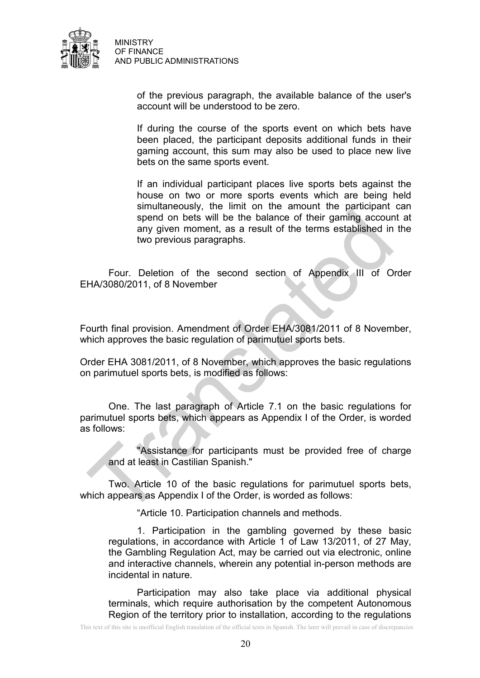

> of the previous paragraph, the available balance of the user's account will be understood to be zero.

> If during the course of the sports event on which bets have been placed, the participant deposits additional funds in their gaming account, this sum may also be used to place new live bets on the same sports event.

> If an individual participant places live sports bets against the house on two or more sports events which are being held simultaneously, the limit on the amount the participant can spend on bets will be the balance of their gaming account at any given moment, as a result of the terms established in the two previous paragraphs.

Four. Deletion of the second section of Appendix III of Order EHA/3080/2011, of 8 November

Fourth final provision. Amendment of Order EHA/3081/2011 of 8 November, which approves the basic regulation of parimutuel sports bets.

Order EHA 3081/2011, of 8 November, which approves the basic regulations on parimutuel sports bets, is modified as follows:

One. The last paragraph of Article 7.1 on the basic regulations for parimutuel sports bets, which appears as Appendix I of the Order, is worded as follows:

"Assistance for participants must be provided free of charge and at least in Castilian Spanish."

Two. Article 10 of the basic regulations for parimutuel sports bets, which appears as Appendix I of the Order, is worded as follows:

"Article 10. Participation channels and methods.

1. Participation in the gambling governed by these basic regulations, in accordance with Article 1 of Law 13/2011, of 27 May, the Gambling Regulation Act, may be carried out via electronic, online and interactive channels, wherein any potential in-person methods are incidental in nature.

Participation may also take place via additional physical terminals, which require authorisation by the competent Autonomous Region of the territory prior to installation, according to the regulations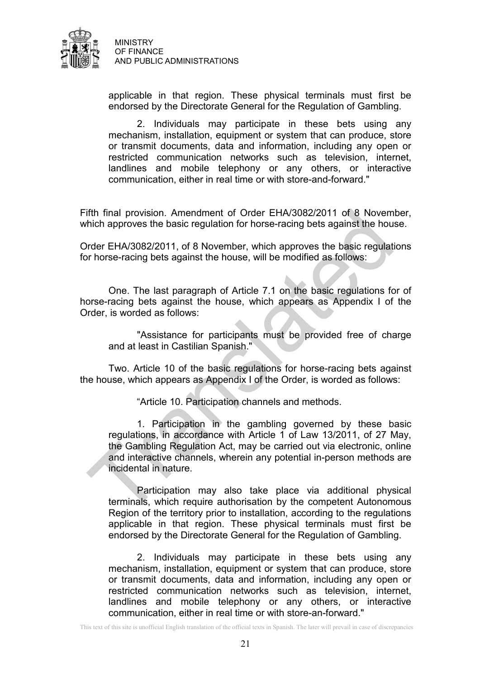

applicable in that region. These physical terminals must first be endorsed by the Directorate General for the Regulation of Gambling.

2. Individuals may participate in these bets using any mechanism, installation, equipment or system that can produce, store or transmit documents, data and information, including any open or restricted communication networks such as television, internet, landlines and mobile telephony or any others, or interactive communication, either in real time or with store-and-forward."

Fifth final provision. Amendment of Order EHA/3082/2011 of 8 November, which approves the basic regulation for horse-racing bets against the house.

Order EHA/3082/2011, of 8 November, which approves the basic regulations for horse-racing bets against the house, will be modified as follows:

One. The last paragraph of Article 7.1 on the basic regulations for of horse-racing bets against the house, which appears as Appendix I of the Order, is worded as follows:

"Assistance for participants must be provided free of charge and at least in Castilian Spanish."

Two. Article 10 of the basic regulations for horse-racing bets against the house, which appears as Appendix I of the Order, is worded as follows:

"Article 10. Participation channels and methods.

1. Participation in the gambling governed by these basic regulations, in accordance with Article 1 of Law 13/2011, of 27 May, the Gambling Regulation Act, may be carried out via electronic, online and interactive channels, wherein any potential in-person methods are incidental in nature.

Participation may also take place via additional physical terminals, which require authorisation by the competent Autonomous Region of the territory prior to installation, according to the regulations applicable in that region. These physical terminals must first be endorsed by the Directorate General for the Regulation of Gambling.

2. Individuals may participate in these bets using any mechanism, installation, equipment or system that can produce, store or transmit documents, data and information, including any open or restricted communication networks such as television, internet, landlines and mobile telephony or any others, or interactive communication, either in real time or with store-an-forward."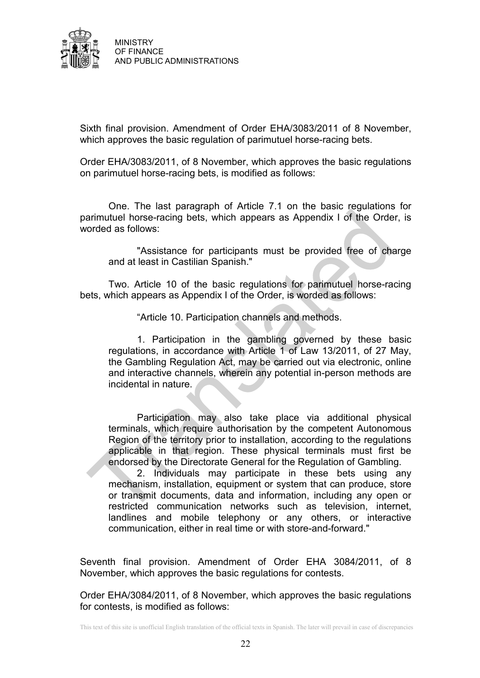

Sixth final provision. Amendment of Order EHA/3083/2011 of 8 November, which approves the basic regulation of parimutuel horse-racing bets.

Order EHA/3083/2011, of 8 November, which approves the basic regulations on parimutuel horse-racing bets, is modified as follows:

One. The last paragraph of Article 7.1 on the basic regulations for parimutuel horse-racing bets, which appears as Appendix I of the Order, is worded as follows:

"Assistance for participants must be provided free of charge and at least in Castilian Spanish."

Two. Article 10 of the basic regulations for parimutuel horse-racing bets, which appears as Appendix I of the Order, is worded as follows:

"Article 10. Participation channels and methods.

1. Participation in the gambling governed by these basic regulations, in accordance with Article 1 of Law 13/2011, of 27 May, the Gambling Regulation Act, may be carried out via electronic, online and interactive channels, wherein any potential in-person methods are incidental in nature.

Participation may also take place via additional physical terminals, which require authorisation by the competent Autonomous Region of the territory prior to installation, according to the regulations applicable in that region. These physical terminals must first be endorsed by the Directorate General for the Regulation of Gambling.

2. Individuals may participate in these bets using any mechanism, installation, equipment or system that can produce, store or transmit documents, data and information, including any open or restricted communication networks such as television, internet, landlines and mobile telephony or any others, or interactive communication, either in real time or with store-and-forward."

Seventh final provision. Amendment of Order EHA 3084/2011, of 8 November, which approves the basic regulations for contests.

Order EHA/3084/2011, of 8 November, which approves the basic regulations for contests, is modified as follows: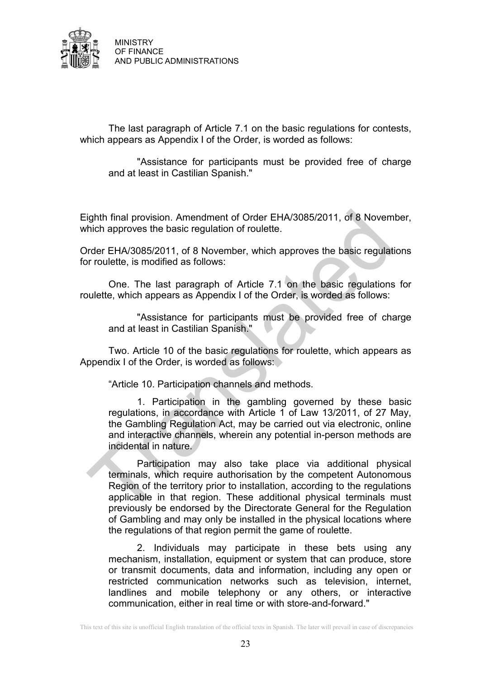

The last paragraph of Article 7.1 on the basic regulations for contests, which appears as Appendix I of the Order, is worded as follows:

"Assistance for participants must be provided free of charge and at least in Castilian Spanish."

Eighth final provision. Amendment of Order EHA/3085/2011, of 8 November, which approves the basic regulation of roulette.

Order EHA/3085/2011, of 8 November, which approves the basic regulations for roulette, is modified as follows:

One. The last paragraph of Article 7.1 on the basic regulations for roulette, which appears as Appendix I of the Order, is worded as follows:

"Assistance for participants must be provided free of charge and at least in Castilian Spanish."

Two. Article 10 of the basic regulations for roulette, which appears as Appendix I of the Order, is worded as follows:

"Article 10. Participation channels and methods.

1. Participation in the gambling governed by these basic regulations, in accordance with Article 1 of Law 13/2011, of 27 May, the Gambling Regulation Act, may be carried out via electronic, online and interactive channels, wherein any potential in-person methods are incidental in nature.

Participation may also take place via additional physical terminals, which require authorisation by the competent Autonomous Region of the territory prior to installation, according to the regulations applicable in that region. These additional physical terminals must previously be endorsed by the Directorate General for the Regulation of Gambling and may only be installed in the physical locations where the regulations of that region permit the game of roulette.

2. Individuals may participate in these bets using any mechanism, installation, equipment or system that can produce, store or transmit documents, data and information, including any open or restricted communication networks such as television, internet, landlines and mobile telephony or any others, or interactive communication, either in real time or with store-and-forward."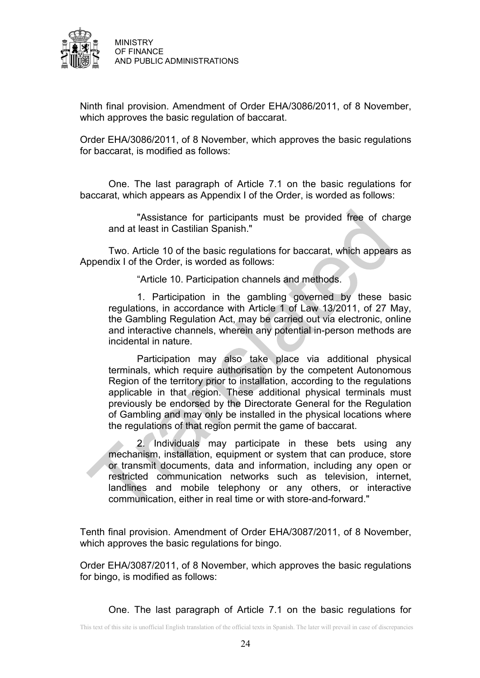

Ninth final provision. Amendment of Order EHA/3086/2011, of 8 November, which approves the basic regulation of baccarat.

Order EHA/3086/2011, of 8 November, which approves the basic regulations for baccarat, is modified as follows:

One. The last paragraph of Article 7.1 on the basic regulations for baccarat, which appears as Appendix I of the Order, is worded as follows:

"Assistance for participants must be provided free of charge and at least in Castilian Spanish."

Two. Article 10 of the basic regulations for baccarat, which appears as Appendix I of the Order, is worded as follows:

"Article 10. Participation channels and methods.

1. Participation in the gambling governed by these basic regulations, in accordance with Article 1 of Law 13/2011, of 27 May, the Gambling Regulation Act, may be carried out via electronic, online and interactive channels, wherein any potential in-person methods are incidental in nature.

Participation may also take place via additional physical terminals, which require authorisation by the competent Autonomous Region of the territory prior to installation, according to the regulations applicable in that region. These additional physical terminals must previously be endorsed by the Directorate General for the Regulation of Gambling and may only be installed in the physical locations where the regulations of that region permit the game of baccarat.

2. Individuals may participate in these bets using any mechanism, installation, equipment or system that can produce, store or transmit documents, data and information, including any open or restricted communication networks such as television, internet, landlines and mobile telephony or any others, or interactive communication, either in real time or with store-and-forward."

Tenth final provision. Amendment of Order EHA/3087/2011, of 8 November, which approves the basic regulations for bingo.

Order EHA/3087/2011, of 8 November, which approves the basic regulations for bingo, is modified as follows:

One. The last paragraph of Article 7.1 on the basic regulations for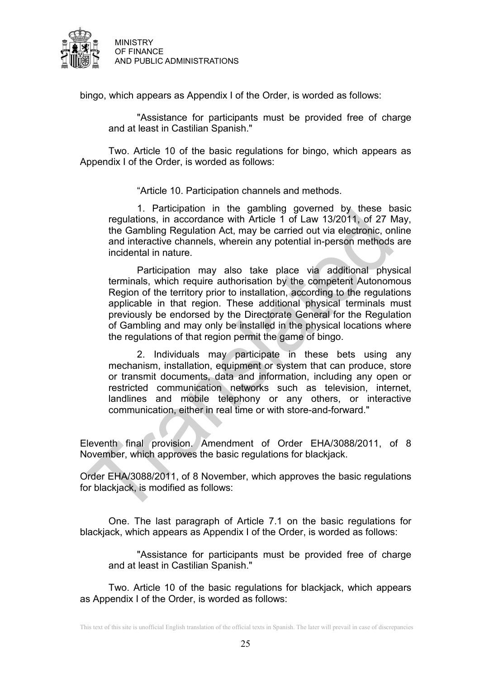

bingo, which appears as Appendix I of the Order, is worded as follows:

"Assistance for participants must be provided free of charge and at least in Castilian Spanish."

Two. Article 10 of the basic regulations for bingo, which appears as Appendix I of the Order, is worded as follows:

"Article 10. Participation channels and methods.

1. Participation in the gambling governed by these basic regulations, in accordance with Article 1 of Law 13/2011, of 27 May, the Gambling Regulation Act, may be carried out via electronic, online and interactive channels, wherein any potential in-person methods are incidental in nature.

Participation may also take place via additional physical terminals, which require authorisation by the competent Autonomous Region of the territory prior to installation, according to the regulations applicable in that region. These additional physical terminals must previously be endorsed by the Directorate General for the Regulation of Gambling and may only be installed in the physical locations where the regulations of that region permit the game of bingo.

2. Individuals may participate in these bets using any mechanism, installation, equipment or system that can produce, store or transmit documents, data and information, including any open or restricted communication networks such as television, internet, landlines and mobile telephony or any others, or interactive communication, either in real time or with store-and-forward."

Eleventh final provision. Amendment of Order EHA/3088/2011, of 8 November, which approves the basic regulations for blackjack.

Order EHA/3088/2011, of 8 November, which approves the basic regulations for blackjack, is modified as follows:

One. The last paragraph of Article 7.1 on the basic regulations for blackjack, which appears as Appendix I of the Order, is worded as follows:

"Assistance for participants must be provided free of charge and at least in Castilian Spanish."

Two. Article 10 of the basic regulations for blackjack, which appears as Appendix I of the Order, is worded as follows: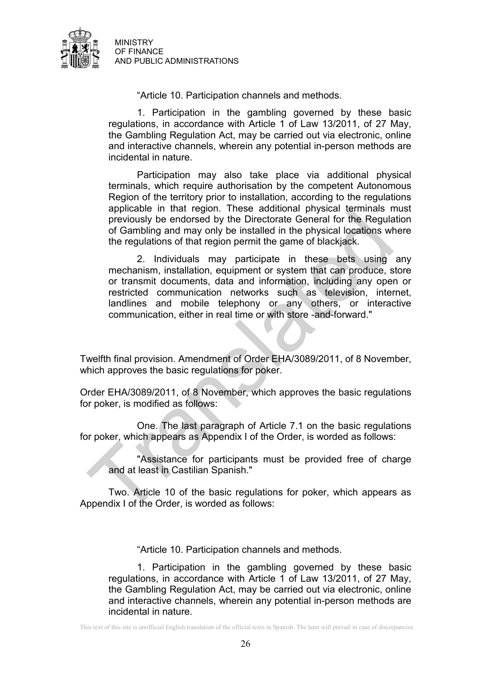

"Article 10. Participation channels and methods.

1. Participation in the gambling governed by these basic regulations, in accordance with Article 1 of Law 13/2011, of 27 May, the Gambling Regulation Act, may be carried out via electronic, online and interactive channels, wherein any potential in-person methods are incidental in nature.

Participation may also take place via additional physical terminals, which require authorisation by the competent Autonomous Region of the territory prior to installation, according to the regulations applicable in that region. These additional physical terminals must previously be endorsed by the Directorate General for the Regulation of Gambling and may only be installed in the physical locations where the regulations of that region permit the game of blackjack.

2. Individuals may participate in these bets using any mechanism, installation, equipment or system that can produce, store or transmit documents, data and information, including any open or restricted communication networks such as television, internet, landlines and mobile telephony or any others, or interactive communication, either in real time or with store -and-forward."

Twelfth final provision. Amendment of Order EHA/3089/2011, of 8 November, which approves the basic regulations for poker.

Order EHA/3089/2011, of 8 November, which approves the basic regulations for poker, is modified as follows:

 One. The last paragraph of Article 7.1 on the basic regulations for poker, which appears as Appendix I of the Order, is worded as follows:

"Assistance for participants must be provided free of charge and at least in Castilian Spanish."

Two. Article 10 of the basic regulations for poker, which appears as Appendix I of the Order, is worded as follows:

"Article 10. Participation channels and methods.

1. Participation in the gambling governed by these basic regulations, in accordance with Article 1 of Law 13/2011, of 27 May, the Gambling Regulation Act, may be carried out via electronic, online and interactive channels, wherein any potential in-person methods are incidental in nature.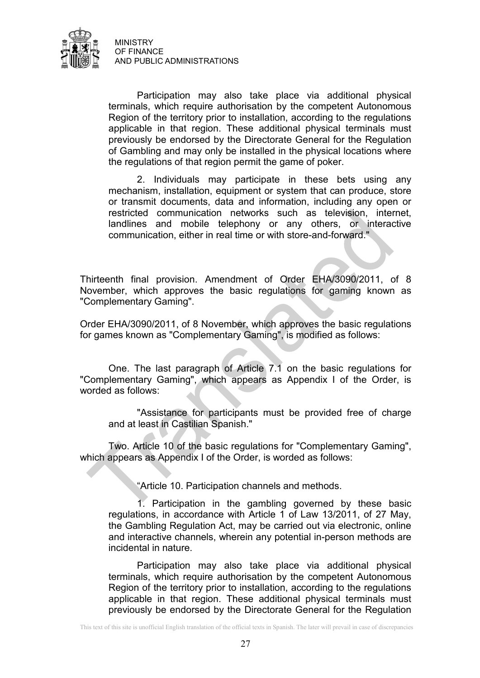

Participation may also take place via additional physical terminals, which require authorisation by the competent Autonomous Region of the territory prior to installation, according to the regulations applicable in that region. These additional physical terminals must previously be endorsed by the Directorate General for the Regulation of Gambling and may only be installed in the physical locations where the regulations of that region permit the game of poker.

2. Individuals may participate in these bets using any mechanism, installation, equipment or system that can produce, store or transmit documents, data and information, including any open or restricted communication networks such as television, internet, landlines and mobile telephony or any others, or interactive communication, either in real time or with store-and-forward."

Thirteenth final provision. Amendment of Order EHA/3090/2011, of 8 November, which approves the basic regulations for gaming known as "Complementary Gaming".

Order EHA/3090/2011, of 8 November, which approves the basic regulations for games known as "Complementary Gaming", is modified as follows:

One. The last paragraph of Article 7.1 on the basic regulations for "Complementary Gaming", which appears as Appendix I of the Order, is worded as follows:

"Assistance for participants must be provided free of charge and at least in Castilian Spanish."

Two. Article 10 of the basic regulations for "Complementary Gaming", which appears as Appendix I of the Order, is worded as follows:

"Article 10. Participation channels and methods.

1. Participation in the gambling governed by these basic regulations, in accordance with Article 1 of Law 13/2011, of 27 May, the Gambling Regulation Act, may be carried out via electronic, online and interactive channels, wherein any potential in-person methods are incidental in nature.

Participation may also take place via additional physical terminals, which require authorisation by the competent Autonomous Region of the territory prior to installation, according to the regulations applicable in that region. These additional physical terminals must previously be endorsed by the Directorate General for the Regulation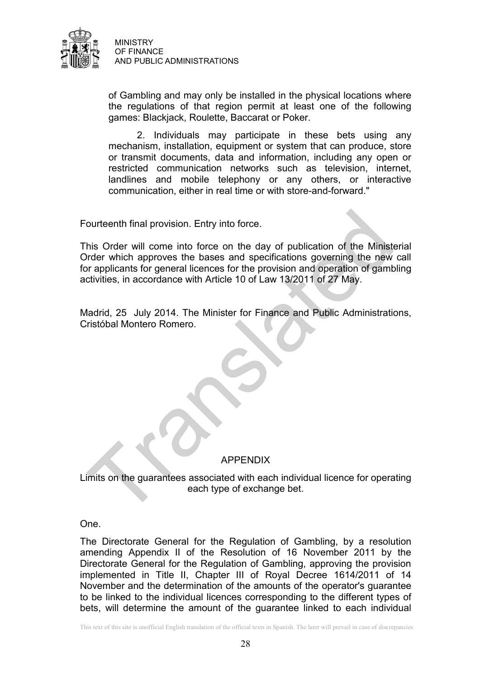

of Gambling and may only be installed in the physical locations where the regulations of that region permit at least one of the following games: Blackjack, Roulette, Baccarat or Poker.

2. Individuals may participate in these bets using any mechanism, installation, equipment or system that can produce, store or transmit documents, data and information, including any open or restricted communication networks such as television, internet, landlines and mobile telephony or any others, or interactive communication, either in real time or with store-and-forward."

Fourteenth final provision. Entry into force.

This Order will come into force on the day of publication of the Ministerial Order which approves the bases and specifications governing the new call for applicants for general licences for the provision and operation of gambling activities, in accordance with Article 10 of Law 13/2011 of 27 May.

Madrid, 25 July 2014. The Minister for Finance and Public Administrations, Cristóbal Montero Romero.

## APPENDIX

Limits on the guarantees associated with each individual licence for operating each type of exchange bet.

One.

The Directorate General for the Regulation of Gambling, by a resolution amending Appendix II of the Resolution of 16 November 2011 by the Directorate General for the Regulation of Gambling, approving the provision implemented in Title II, Chapter III of Royal Decree 1614/2011 of 14 November and the determination of the amounts of the operator's guarantee to be linked to the individual licences corresponding to the different types of bets, will determine the amount of the guarantee linked to each individual